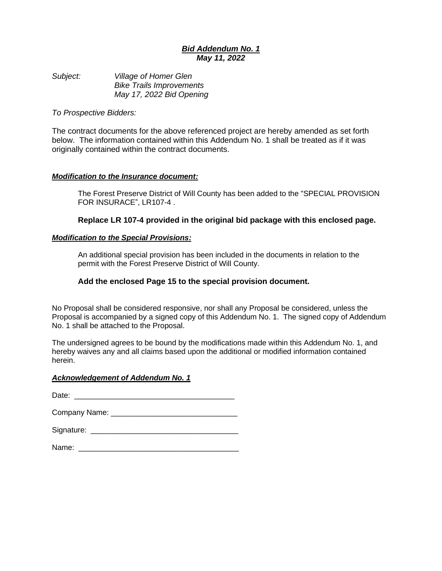# *Bid Addendum No. 1 May 11, 2022*

*Subject: Village of Homer Glen Bike Trails Improvements May 17, 2022 Bid Opening*

# *To Prospective Bidders:*

The contract documents for the above referenced project are hereby amended as set forth below. The information contained within this Addendum No. 1 shall be treated as if it was originally contained within the contract documents.

# *Modification to the Insurance document:*

The Forest Preserve District of Will County has been added to the "SPECIAL PROVISION FOR INSURACE", LR107-4 .

# **Replace LR 107-4 provided in the original bid package with this enclosed page.**

### *Modification to the Special Provisions:*

An additional special provision has been included in the documents in relation to the permit with the Forest Preserve District of Will County.

## **Add the enclosed Page 15 to the special provision document.**

No Proposal shall be considered responsive, nor shall any Proposal be considered, unless the Proposal is accompanied by a signed copy of this Addendum No. 1. The signed copy of Addendum No. 1 shall be attached to the Proposal.

The undersigned agrees to be bound by the modifications made within this Addendum No. 1, and hereby waives any and all claims based upon the additional or modified information contained herein.

### *Acknowledgement of Addendum No. 1*

Date:

Company Name: \_\_\_\_\_\_\_\_\_\_\_\_\_\_\_\_\_\_\_\_\_\_\_\_\_\_\_\_\_\_

| Signature: |  |
|------------|--|
|            |  |

Name: \_\_\_\_\_\_\_\_\_\_\_\_\_\_\_\_\_\_\_\_\_\_\_\_\_\_\_\_\_\_\_\_\_\_\_\_\_\_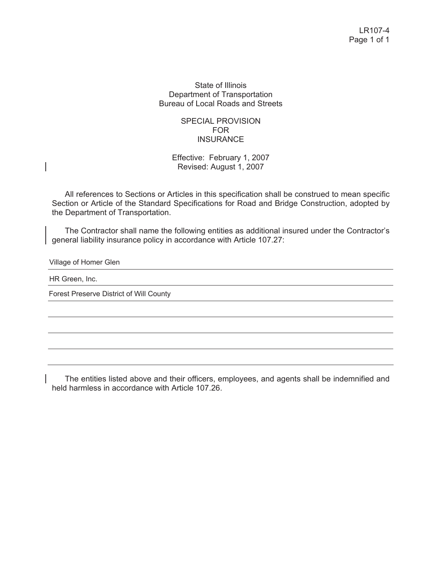## State of Illinois Department of Transportation Bureau of Local Roads and Streets

# SPECIAL PROVISION FOR **INSURANCE**

Effective: February 1, 2007 Revised: August 1, 2007

All references to Sections or Articles in this specification shall be construed to mean specific Section or Article of the Standard Specifications for Road and Bridge Construction, adopted by the Department of Transportation.

The Contractor shall name the following entities as additional insured under the Contractor's general liability insurance policy in accordance with Article 107.27:

Village of Homer Glen

HR Green, Inc.

Forest Preserve District of Will County

The entities listed above and their officers, employees, and agents shall be indemnified and held harmless in accordance with Article 107.26.